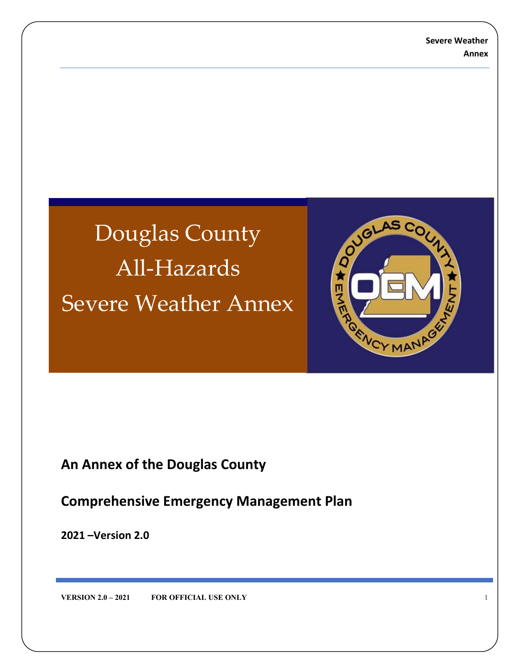# Douglas County All-Hazards Severe Weather Annex



# **An Annex of the Douglas County**

**Comprehensive Emergency Management Plan**

**2021 –Version 2.0**

**VERSION 2.0 – 2021 FOR OFFICIAL USE ONLY 1**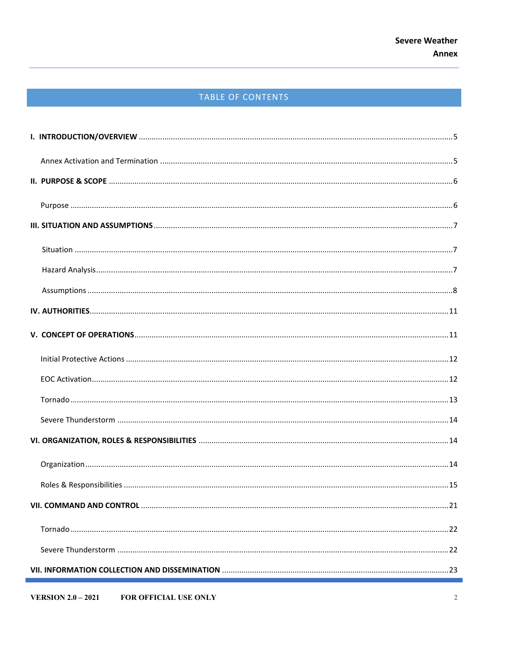# TABLE OF CONTENTS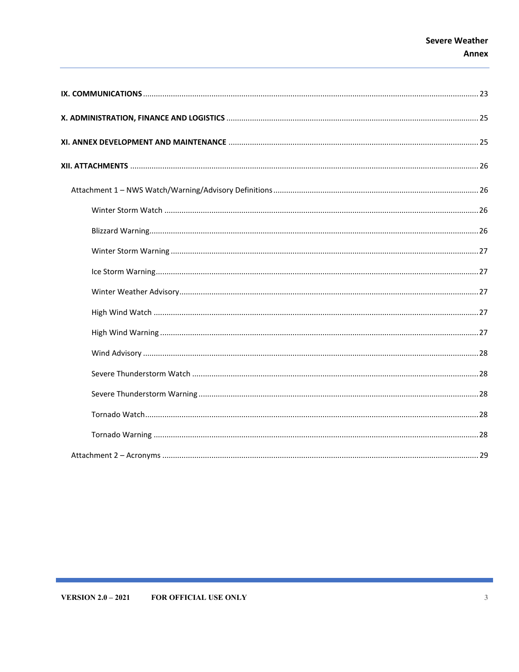# **Severe Weather Annex**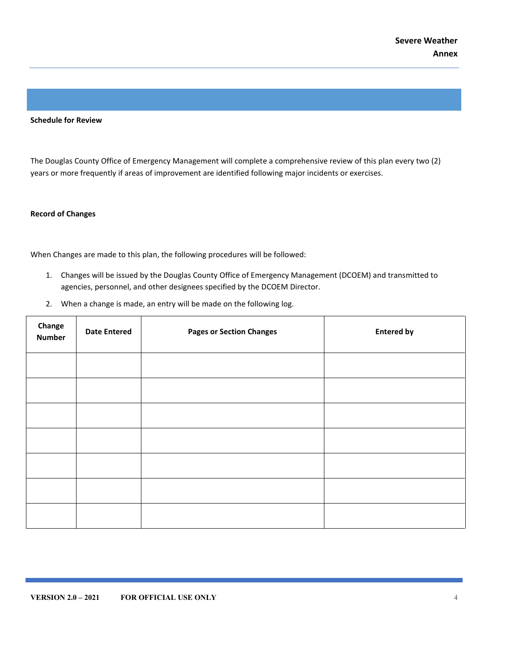#### **Schedule for Review**

The Douglas County Office of Emergency Management will complete a comprehensive review of this plan every two (2) years or more frequently if areas of improvement are identified following major incidents or exercises.

#### **Record of Changes**

When Changes are made to this plan, the following procedures will be followed:

- 1. Changes will be issued by the Douglas County Office of Emergency Management (DCOEM) and transmitted to agencies, personnel, and other designees specified by the DCOEM Director.
- 2. When a change is made, an entry will be made on the following log.

| Change<br><b>Number</b> | <b>Date Entered</b> | <b>Pages or Section Changes</b> | <b>Entered by</b> |
|-------------------------|---------------------|---------------------------------|-------------------|
|                         |                     |                                 |                   |
|                         |                     |                                 |                   |
|                         |                     |                                 |                   |
|                         |                     |                                 |                   |
|                         |                     |                                 |                   |
|                         |                     |                                 |                   |
|                         |                     |                                 |                   |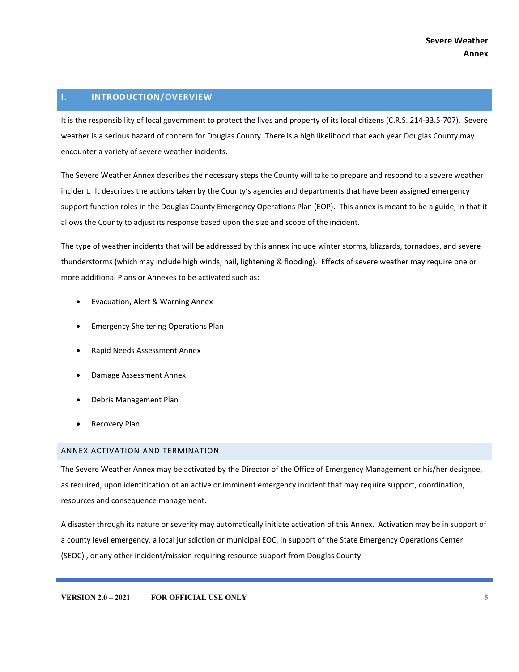# <span id="page-4-0"></span>**I. INTRODUCTION/OVERVIEW**

It is the responsibility of local government to protect the lives and property of its local citizens (C.R.S. 214-33.5-707). Severe weather is a serious hazard of concern for Douglas County. There is a high likelihood that each year Douglas County may encounter a variety of severe weather incidents.

The Severe Weather Annex describes the necessary steps the County will take to prepare and respond to a severe weather incident. It describes the actions taken by the County's agencies and departments that have been assigned emergency support function roles in the Douglas County Emergency Operations Plan (EOP). This annex is meant to be a guide, in that it allows the County to adjust its response based upon the size and scope of the incident.

The type of weather incidents that will be addressed by this annex include winter storms, blizzards, tornadoes, and severe thunderstorms (which may include high winds, hail, lightening & flooding). Effects of severe weather may require one or more additional Plans or Annexes to be activated such as:

- Evacuation, Alert & Warning Annex
- Emergency Sheltering Operations Plan
- Rapid Needs Assessment Annex
- Damage Assessment Annex
- Debris Management Plan
- Recovery Plan

#### <span id="page-4-1"></span>ANNEX ACTIVATION AND TERMINATION

The Severe Weather Annex may be activated by the Director of the Office of Emergency Management or his/her designee, as required, upon identification of an active or imminent emergency incident that may require support, coordination, resources and consequence management.

A disaster through its nature or severity may automatically initiate activation of this Annex. Activation may be in support of a county level emergency, a local jurisdiction or municipal EOC, in support of the State Emergency Operations Center (SEOC) , or any other incident/mission requiring resource support from Douglas County.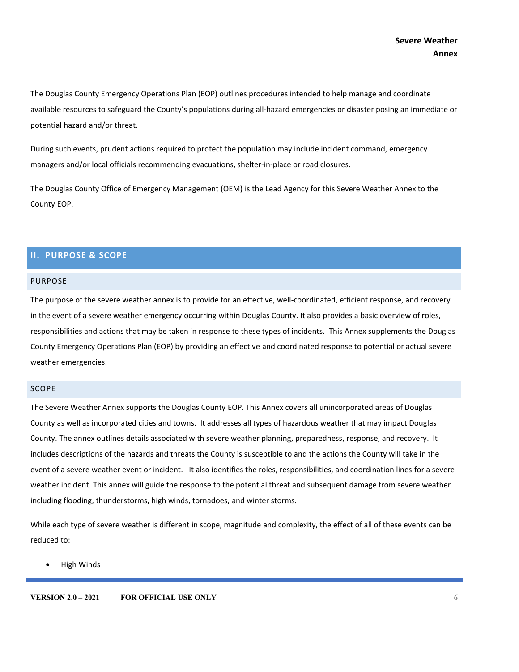The Douglas County Emergency Operations Plan (EOP) outlines procedures intended to help manage and coordinate available resources to safeguard the County's populations during all-hazard emergencies or disaster posing an immediate or potential hazard and/or threat.

During such events, prudent actions required to protect the population may include incident command, emergency managers and/or local officials recommending evacuations, shelter-in-place or road closures.

The Douglas County Office of Emergency Management (OEM) is the Lead Agency for this Severe Weather Annex to the County EOP.

# <span id="page-5-0"></span>**II. PURPOSE & SCOPE**

#### <span id="page-5-1"></span>PURPOSE

The purpose of the severe weather annex is to provide for an effective, well-coordinated, efficient response, and recovery in the event of a severe weather emergency occurring within Douglas County. It also provides a basic overview of roles, responsibilities and actions that may be taken in response to these types of incidents. This Annex supplements the Douglas County Emergency Operations Plan (EOP) by providing an effective and coordinated response to potential or actual severe weather emergencies.

#### SCOPE

The Severe Weather Annex supports the Douglas County EOP. This Annex covers all unincorporated areas of Douglas County as well as incorporated cities and towns. It addresses all types of hazardous weather that may impact Douglas County. The annex outlines details associated with severe weather planning, preparedness, response, and recovery. It includes descriptions of the hazards and threats the County is susceptible to and the actions the County will take in the event of a severe weather event or incident. It also identifies the roles, responsibilities, and coordination lines for a severe weather incident. This annex will guide the response to the potential threat and subsequent damage from severe weather including flooding, thunderstorms, high winds, tornadoes, and winter storms.

While each type of severe weather is different in scope, magnitude and complexity, the effect of all of these events can be reduced to:

• High Winds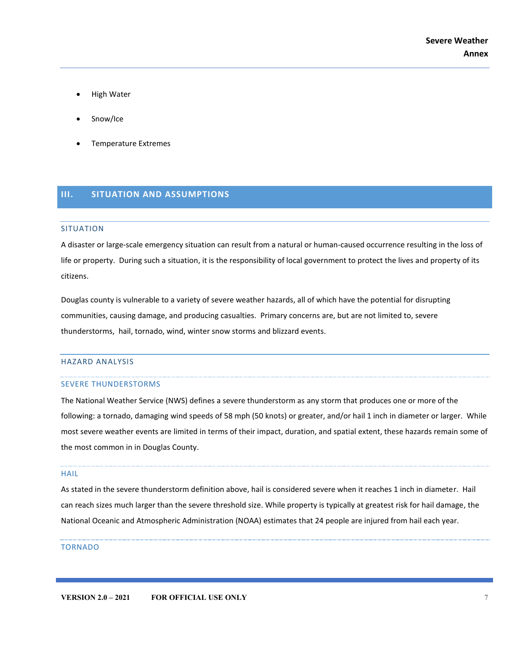- High Water
- Snow/Ice
- Temperature Extremes

# <span id="page-6-0"></span>**III. SITUATION AND ASSUMPTIONS**

#### <span id="page-6-1"></span>SITUATION

A disaster or large-scale emergency situation can result from a natural or human-caused occurrence resulting in the loss of life or property. During such a situation, it is the responsibility of local government to protect the lives and property of its citizens.

Douglas county is vulnerable to a variety of severe weather hazards, all of which have the potential for disrupting communities, causing damage, and producing casualties. Primary concerns are, but are not limited to, severe thunderstorms, hail, tornado, wind, winter snow storms and blizzard events.

#### <span id="page-6-2"></span>HAZARD ANALYSIS

#### SEVERE THUNDERSTORMS

The National Weather Service (NWS) defines a severe thunderstorm as any storm that produces one or more of the following: a tornado, damaging wind speeds of 58 mph (50 knots) or greater, and/or hail 1 inch in diameter or larger. While most severe weather events are limited in terms of their impact, duration, and spatial extent, these hazards remain some of the most common in in Douglas County.

#### HAIL

As stated in the severe thunderstorm definition above, hail is considered severe when it reaches 1 inch in diameter. Hail can reach sizes much larger than the severe threshold size. While property is typically at greatest risk for hail damage, the National Oceanic and Atmospheric Administration (NOAA) estimates that 24 people are injured from hail each year.

#### TORNADO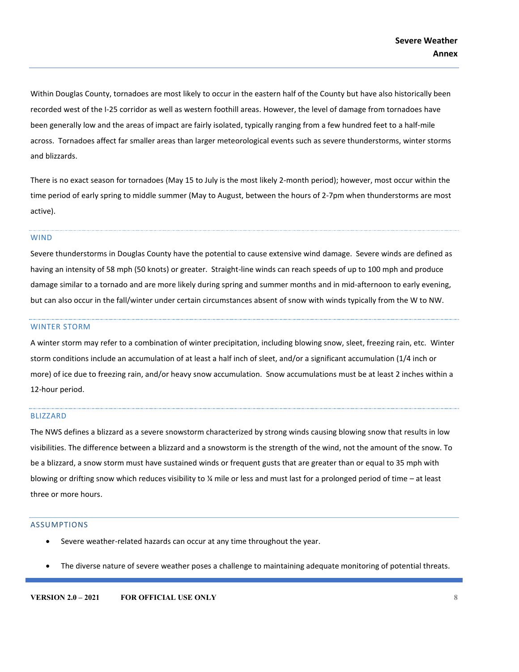Within Douglas County, tornadoes are most likely to occur in the eastern half of the County but have also historically been recorded west of the I-25 corridor as well as western foothill areas. However, the level of damage from tornadoes have been generally low and the areas of impact are fairly isolated, typically ranging from a few hundred feet to a half-mile across. Tornadoes affect far smaller areas than larger meteorological events such as severe thunderstorms, winter storms and blizzards.

There is no exact season for tornadoes (May 15 to July is the most likely 2-month period); however, most occur within the time period of early spring to middle summer (May to August, between the hours of 2-7pm when thunderstorms are most active).

#### WIND

Severe thunderstorms in Douglas County have the potential to cause extensive wind damage. Severe winds are defined as having an intensity of 58 mph (50 knots) or greater. Straight-line winds can reach speeds of up to 100 mph and produce damage similar to a tornado and are more likely during spring and summer months and in mid-afternoon to early evening, but can also occur in the fall/winter under certain circumstances absent of snow with winds typically from the W to NW.

#### WINTER STORM

A winter storm may refer to a combination of winter precipitation, including blowing snow, sleet, freezing rain, etc. Winter storm conditions include an accumulation of at least a half inch of sleet, and/or a significant accumulation (1/4 inch or more) of ice due to freezing rain, and/or heavy snow accumulation. Snow accumulations must be at least 2 inches within a 12-hour period.

#### BLIZZARD

The NWS defines a blizzard as a severe snowstorm characterized by strong winds causing blowing snow that results in low visibilities. The difference between a blizzard and a snowstorm is the strength of the wind, not the amount of the snow. To be a blizzard, a snow storm must have sustained winds or frequent gusts that are greater than or equal to 35 mph with blowing or drifting snow which reduces visibility to  $\frac{1}{4}$  mile or less and must last for a prolonged period of time – at least three or more hours.

#### <span id="page-7-0"></span>ASSUMPTIONS

- Severe weather-related hazards can occur at any time throughout the year.
- The diverse nature of severe weather poses a challenge to maintaining adequate monitoring of potential threats.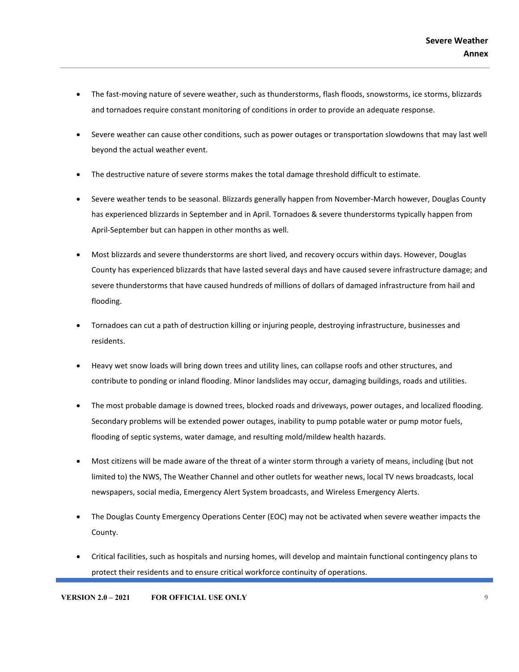- The fast-moving nature of severe weather, such as thunderstorms, flash floods, snowstorms, ice storms, blizzards and tornadoes require constant monitoring of conditions in order to provide an adequate response.
- Severe weather can cause other conditions, such as power outages or transportation slowdowns that may last well beyond the actual weather event.
- The destructive nature of severe storms makes the total damage threshold difficult to estimate.
- Severe weather tends to be seasonal. Blizzards generally happen from November-March however, Douglas County has experienced blizzards in September and in April. Tornadoes & severe thunderstorms typically happen from April-September but can happen in other months as well.
- Most blizzards and severe thunderstorms are short lived, and recovery occurs within days. However, Douglas County has experienced blizzards that have lasted several days and have caused severe infrastructure damage; and severe thunderstorms that have caused hundreds of millions of dollars of damaged infrastructure from hail and flooding.
- Tornadoes can cut a path of destruction killing or injuring people, destroying infrastructure, businesses and residents.
- Heavy wet snow loads will bring down trees and utility lines, can collapse roofs and other structures, and contribute to ponding or inland flooding. Minor landslides may occur, damaging buildings, roads and utilities.
- The most probable damage is downed trees, blocked roads and driveways, power outages, and localized flooding. Secondary problems will be extended power outages, inability to pump potable water or pump motor fuels, flooding of septic systems, water damage, and resulting mold/mildew health hazards.
- Most citizens will be made aware of the threat of a winter storm through a variety of means, including (but not limited to) the NWS, The Weather Channel and other outlets for weather news, local TV news broadcasts, local newspapers, social media, Emergency Alert System broadcasts, and Wireless Emergency Alerts.
- The Douglas County Emergency Operations Center (EOC) may not be activated when severe weather impacts the County.
- Critical facilities, such as hospitals and nursing homes, will develop and maintain functional contingency plans to protect their residents and to ensure critical workforce continuity of operations.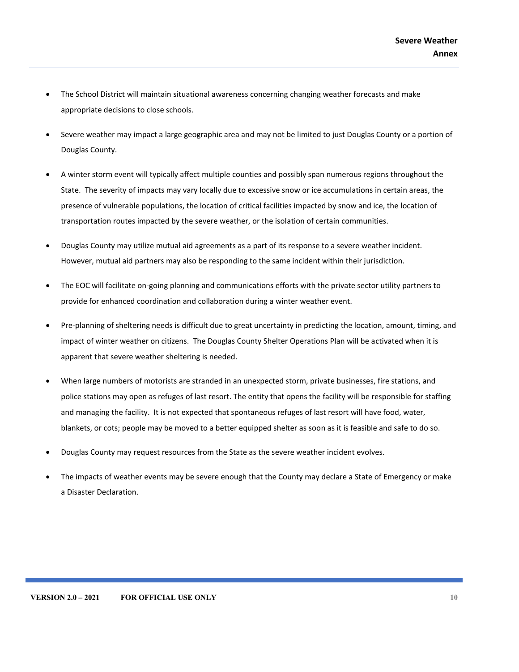- The School District will maintain situational awareness concerning changing weather forecasts and make appropriate decisions to close schools.
- Severe weather may impact a large geographic area and may not be limited to just Douglas County or a portion of Douglas County.
- A winter storm event will typically affect multiple counties and possibly span numerous regions throughout the State. The severity of impacts may vary locally due to excessive snow or ice accumulations in certain areas, the presence of vulnerable populations, the location of critical facilities impacted by snow and ice, the location of transportation routes impacted by the severe weather, or the isolation of certain communities.
- Douglas County may utilize mutual aid agreements as a part of its response to a severe weather incident. However, mutual aid partners may also be responding to the same incident within their jurisdiction.
- The EOC will facilitate on-going planning and communications efforts with the private sector utility partners to provide for enhanced coordination and collaboration during a winter weather event.
- Pre-planning of sheltering needs is difficult due to great uncertainty in predicting the location, amount, timing, and impact of winter weather on citizens. The Douglas County Shelter Operations Plan will be activated when it is apparent that severe weather sheltering is needed.
- When large numbers of motorists are stranded in an unexpected storm, private businesses, fire stations, and police stations may open as refuges of last resort. The entity that opens the facility will be responsible for staffing and managing the facility. It is not expected that spontaneous refuges of last resort will have food, water, blankets, or cots; people may be moved to a better equipped shelter as soon as it is feasible and safe to do so.
- Douglas County may request resources from the State as the severe weather incident evolves.
- The impacts of weather events may be severe enough that the County may declare a State of Emergency or make a Disaster Declaration.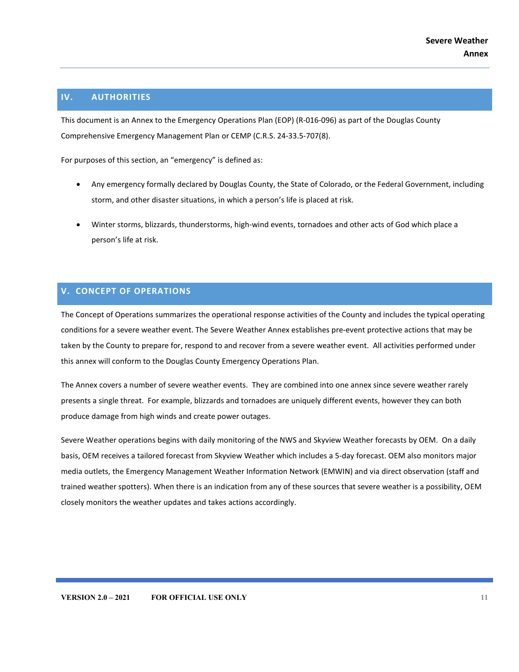# <span id="page-10-0"></span>**IV. AUTHORITIES**

This document is an Annex to the Emergency Operations Plan (EOP) (R-016-096) as part of the Douglas County Comprehensive Emergency Management Plan or CEMP (C.R.S. 24-33.5-707(8).

For purposes of this section, an "emergency" is defined as:

- Any emergency formally declared by Douglas County, the State of Colorado, or the Federal Government, including storm, and other disaster situations, in which a person's life is placed at risk.
- Winter storms, blizzards, thunderstorms, high-wind events, tornadoes and other acts of God which place a person's life at risk.

# <span id="page-10-1"></span>**V. CONCEPT OF OPERATIONS**

The Concept of Operations summarizes the operational response activities of the County and includes the typical operating conditions for a severe weather event. The Severe Weather Annex establishes pre-event protective actions that may be taken by the County to prepare for, respond to and recover from a severe weather event. All activities performed under this annex will conform to the Douglas County Emergency Operations Plan.

The Annex covers a number of severe weather events. They are combined into one annex since severe weather rarely presents a single threat. For example, blizzards and tornadoes are uniquely different events, however they can both produce damage from high winds and create power outages.

Severe Weather operations begins with daily monitoring of the NWS and Skyview Weather forecasts by OEM. On a daily basis, OEM receives a tailored forecast from Skyview Weather which includes a 5-day forecast. OEM also monitors major media outlets, the Emergency Management Weather Information Network (EMWIN) and via direct observation (staff and trained weather spotters). When there is an indication from any of these sources that severe weather is a possibility, OEM closely monitors the weather updates and takes actions accordingly.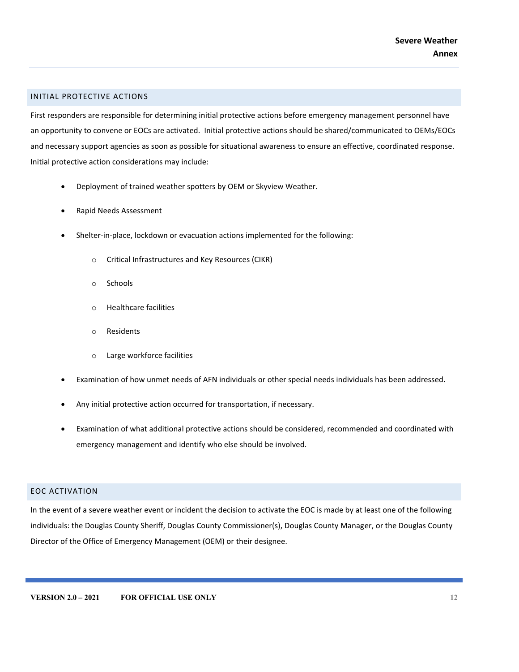#### <span id="page-11-0"></span>INITIAL PROTECTIVE ACTIONS

First responders are responsible for determining initial protective actions before emergency management personnel have an opportunity to convene or EOCs are activated. Initial protective actions should be shared/communicated to OEMs/EOCs and necessary support agencies as soon as possible for situational awareness to ensure an effective, coordinated response. Initial protective action considerations may include:

- Deployment of trained weather spotters by OEM or Skyview Weather.
- Rapid Needs Assessment
- Shelter-in-place, lockdown or evacuation actions implemented for the following:
	- o Critical Infrastructures and Key Resources (CIKR)
	- o Schools
	- o Healthcare facilities
	- o Residents
	- o Large workforce facilities
- Examination of how unmet needs of AFN individuals or other special needs individuals has been addressed.
- Any initial protective action occurred for transportation, if necessary.
- Examination of what additional protective actions should be considered, recommended and coordinated with emergency management and identify who else should be involved.

# <span id="page-11-1"></span>EOC ACTIVATION

In the event of a severe weather event or incident the decision to activate the EOC is made by at least one of the following individuals: the Douglas County Sheriff, Douglas County Commissioner(s), Douglas County Manager, or the Douglas County Director of the Office of Emergency Management (OEM) or their designee.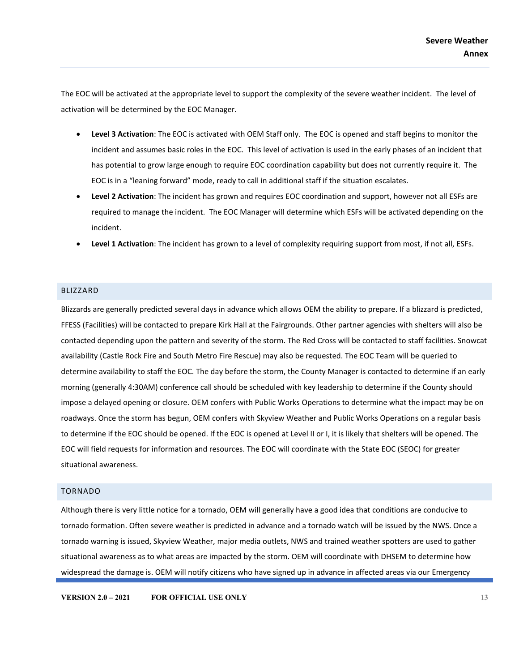The EOC will be activated at the appropriate level to support the complexity of the severe weather incident. The level of activation will be determined by the EOC Manager.

- **Level 3 Activation**: The EOC is activated with OEM Staff only. The EOC is opened and staff begins to monitor the incident and assumes basic roles in the EOC. This level of activation is used in the early phases of an incident that has potential to grow large enough to require EOC coordination capability but does not currently require it. The EOC is in a "leaning forward" mode, ready to call in additional staff if the situation escalates.
- **Level 2 Activation**: The incident has grown and requires EOC coordination and support, however not all ESFs are required to manage the incident. The EOC Manager will determine which ESFs will be activated depending on the incident.
- **Level 1 Activation**: The incident has grown to a level of complexity requiring support from most, if not all, ESFs.

#### BLIZZARD

Blizzards are generally predicted several days in advance which allows OEM the ability to prepare. If a blizzard is predicted, FFESS (Facilities) will be contacted to prepare Kirk Hall at the Fairgrounds. Other partner agencies with shelters will also be contacted depending upon the pattern and severity of the storm. The Red Cross will be contacted to staff facilities. Snowcat availability (Castle Rock Fire and South Metro Fire Rescue) may also be requested. The EOC Team will be queried to determine availability to staff the EOC. The day before the storm, the County Manager is contacted to determine if an early morning (generally 4:30AM) conference call should be scheduled with key leadership to determine if the County should impose a delayed opening or closure. OEM confers with Public Works Operations to determine what the impact may be on roadways. Once the storm has begun, OEM confers with Skyview Weather and Public Works Operations on a regular basis to determine if the EOC should be opened. If the EOC is opened at Level II or I, it is likely that shelters will be opened. The EOC will field requests for information and resources. The EOC will coordinate with the State EOC (SEOC) for greater situational awareness.

#### <span id="page-12-0"></span>TORNADO

Although there is very little notice for a tornado, OEM will generally have a good idea that conditions are conducive to tornado formation. Often severe weather is predicted in advance and a tornado watch will be issued by the NWS. Once a tornado warning is issued, Skyview Weather, major media outlets, NWS and trained weather spotters are used to gather situational awareness as to what areas are impacted by the storm. OEM will coordinate with DHSEM to determine how widespread the damage is. OEM will notify citizens who have signed up in advance in affected areas via our Emergency

**VERSION 2.0 – 2021 FOR OFFICIAL USE ONLY 13**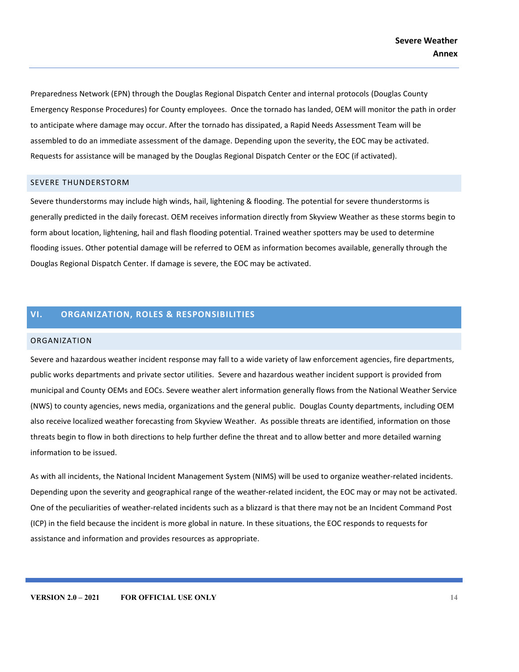Preparedness Network (EPN) through the Douglas Regional Dispatch Center and internal protocols (Douglas County Emergency Response Procedures) for County employees. Once the tornado has landed, OEM will monitor the path in order to anticipate where damage may occur. After the tornado has dissipated, a Rapid Needs Assessment Team will be assembled to do an immediate assessment of the damage. Depending upon the severity, the EOC may be activated. Requests for assistance will be managed by the Douglas Regional Dispatch Center or the EOC (if activated).

#### <span id="page-13-0"></span>SEVERE THUNDERSTORM

Severe thunderstorms may include high winds, hail, lightening & flooding. The potential for severe thunderstorms is generally predicted in the daily forecast. OEM receives information directly from Skyview Weather as these storms begin to form about location, lightening, hail and flash flooding potential. Trained weather spotters may be used to determine flooding issues. Other potential damage will be referred to OEM as information becomes available, generally through the Douglas Regional Dispatch Center. If damage is severe, the EOC may be activated.

# <span id="page-13-1"></span>**VI. ORGANIZATION, ROLES & RESPONSIBILITIES**

#### <span id="page-13-2"></span>ORGANIZATION

Severe and hazardous weather incident response may fall to a wide variety of law enforcement agencies, fire departments, public works departments and private sector utilities. Severe and hazardous weather incident support is provided from municipal and County OEMs and EOCs. Severe weather alert information generally flows from the National Weather Service (NWS) to county agencies, news media, organizations and the general public. Douglas County departments, including OEM also receive localized weather forecasting from Skyview Weather. As possible threats are identified, information on those threats begin to flow in both directions to help further define the threat and to allow better and more detailed warning information to be issued.

As with all incidents, the National Incident Management System (NIMS) will be used to organize weather-related incidents. Depending upon the severity and geographical range of the weather-related incident, the EOC may or may not be activated. One of the peculiarities of weather-related incidents such as a blizzard is that there may not be an Incident Command Post (ICP) in the field because the incident is more global in nature. In these situations, the EOC responds to requests for assistance and information and provides resources as appropriate.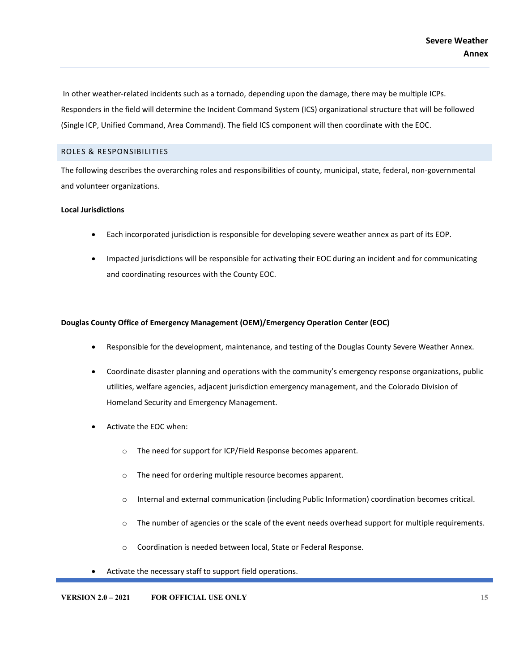In other weather-related incidents such as a tornado, depending upon the damage, there may be multiple ICPs. Responders in the field will determine the Incident Command System (ICS) organizational structure that will be followed (Single ICP, Unified Command, Area Command). The field ICS component will then coordinate with the EOC.

# <span id="page-14-0"></span>ROLES & RESPONSIBILITIES

The following describes the overarching roles and responsibilities of county, municipal, state, federal, non-governmental and volunteer organizations.

#### **Local Jurisdictions**

- Each incorporated jurisdiction is responsible for developing severe weather annex as part of its EOP.
- Impacted jurisdictions will be responsible for activating their EOC during an incident and for communicating and coordinating resources with the County EOC.

#### **Douglas County Office of Emergency Management (OEM)/Emergency Operation Center (EOC)**

- Responsible for the development, maintenance, and testing of the Douglas County Severe Weather Annex.
- Coordinate disaster planning and operations with the community's emergency response organizations, public utilities, welfare agencies, adjacent jurisdiction emergency management, and the Colorado Division of Homeland Security and Emergency Management.
- Activate the EOC when:
	- o The need for support for ICP/Field Response becomes apparent.
	- o The need for ordering multiple resource becomes apparent.
	- o Internal and external communication (including Public Information) coordination becomes critical.
	- o The number of agencies or the scale of the event needs overhead support for multiple requirements.
	- o Coordination is needed between local, State or Federal Response.
- Activate the necessary staff to support field operations.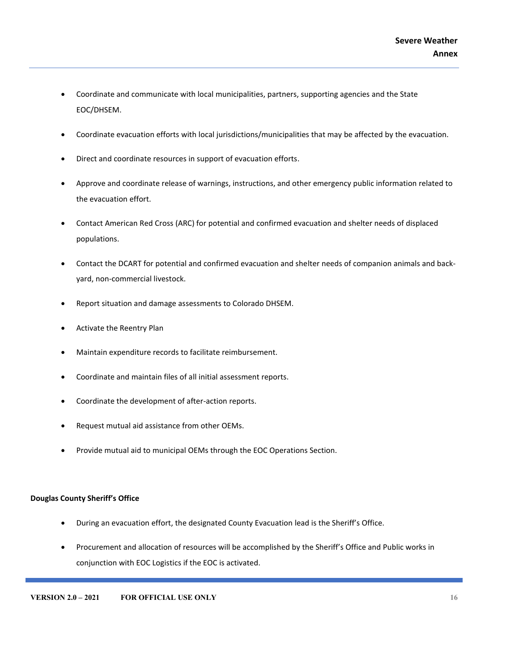- Coordinate and communicate with local municipalities, partners, supporting agencies and the State EOC/DHSEM.
- Coordinate evacuation efforts with local jurisdictions/municipalities that may be affected by the evacuation.
- Direct and coordinate resources in support of evacuation efforts.
- Approve and coordinate release of warnings, instructions, and other emergency public information related to the evacuation effort.
- Contact American Red Cross (ARC) for potential and confirmed evacuation and shelter needs of displaced populations.
- Contact the DCART for potential and confirmed evacuation and shelter needs of companion animals and backyard, non-commercial livestock.
- Report situation and damage assessments to Colorado DHSEM.
- Activate the Reentry Plan
- Maintain expenditure records to facilitate reimbursement.
- Coordinate and maintain files of all initial assessment reports.
- Coordinate the development of after-action reports.
- Request mutual aid assistance from other OEMs.
- Provide mutual aid to municipal OEMs through the EOC Operations Section.

#### **Douglas County Sheriff's Office**

- During an evacuation effort, the designated County Evacuation lead is the Sheriff's Office.
- Procurement and allocation of resources will be accomplished by the Sheriff's Office and Public works in conjunction with EOC Logistics if the EOC is activated.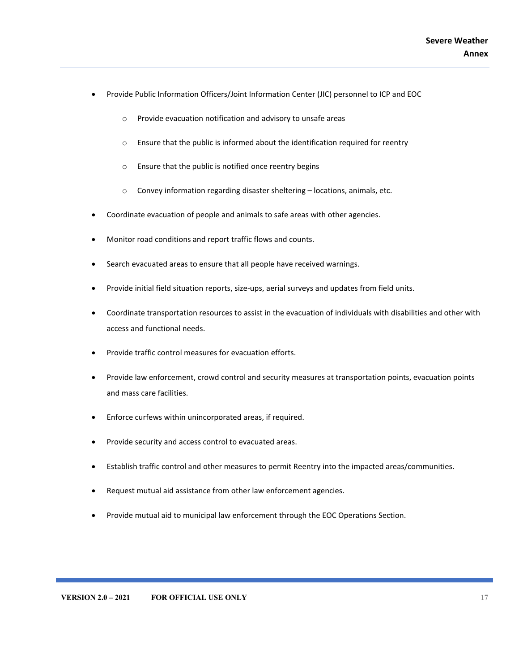- Provide Public Information Officers/Joint Information Center (JIC) personnel to ICP and EOC
	- o Provide evacuation notification and advisory to unsafe areas
	- o Ensure that the public is informed about the identification required for reentry
	- o Ensure that the public is notified once reentry begins
	- o Convey information regarding disaster sheltering locations, animals, etc.
- Coordinate evacuation of people and animals to safe areas with other agencies.
- Monitor road conditions and report traffic flows and counts.
- Search evacuated areas to ensure that all people have received warnings.
- Provide initial field situation reports, size-ups, aerial surveys and updates from field units.
- Coordinate transportation resources to assist in the evacuation of individuals with disabilities and other with access and functional needs.
- Provide traffic control measures for evacuation efforts.
- Provide law enforcement, crowd control and security measures at transportation points, evacuation points and mass care facilities.
- Enforce curfews within unincorporated areas, if required.
- Provide security and access control to evacuated areas.
- Establish traffic control and other measures to permit Reentry into the impacted areas/communities.
- Request mutual aid assistance from other law enforcement agencies.
- Provide mutual aid to municipal law enforcement through the EOC Operations Section.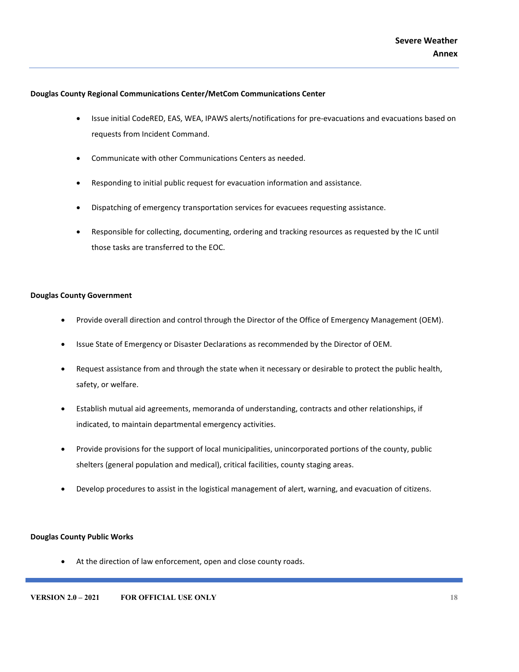#### **Douglas County Regional Communications Center/MetCom Communications Center**

- Issue initial CodeRED, EAS, WEA, IPAWS alerts/notifications for pre-evacuations and evacuations based on requests from Incident Command.
- Communicate with other Communications Centers as needed.
- Responding to initial public request for evacuation information and assistance.
- Dispatching of emergency transportation services for evacuees requesting assistance.
- Responsible for collecting, documenting, ordering and tracking resources as requested by the IC until those tasks are transferred to the EOC.

#### **Douglas County Government**

- Provide overall direction and control through the Director of the Office of Emergency Management (OEM).
- Issue State of Emergency or Disaster Declarations as recommended by the Director of OEM.
- Request assistance from and through the state when it necessary or desirable to protect the public health, safety, or welfare.
- Establish mutual aid agreements, memoranda of understanding, contracts and other relationships, if indicated, to maintain departmental emergency activities.
- Provide provisions for the support of local municipalities, unincorporated portions of the county, public shelters (general population and medical), critical facilities, county staging areas.
- Develop procedures to assist in the logistical management of alert, warning, and evacuation of citizens.

# **Douglas County Public Works**

• At the direction of law enforcement, open and close county roads.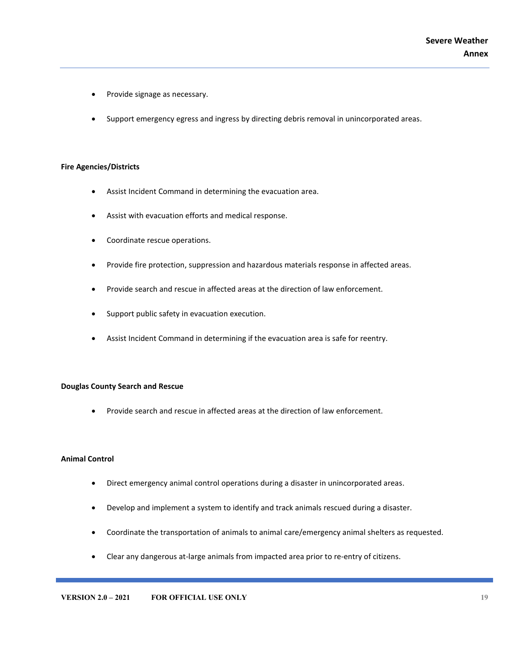- Provide signage as necessary.
- Support emergency egress and ingress by directing debris removal in unincorporated areas.

#### **Fire Agencies/Districts**

- Assist Incident Command in determining the evacuation area.
- Assist with evacuation efforts and medical response.
- Coordinate rescue operations.
- Provide fire protection, suppression and hazardous materials response in affected areas.
- Provide search and rescue in affected areas at the direction of law enforcement.
- Support public safety in evacuation execution.
- Assist Incident Command in determining if the evacuation area is safe for reentry.

#### **Douglas County Search and Rescue**

• Provide search and rescue in affected areas at the direction of law enforcement.

#### **Animal Control**

- Direct emergency animal control operations during a disaster in unincorporated areas.
- Develop and implement a system to identify and track animals rescued during a disaster.
- Coordinate the transportation of animals to animal care/emergency animal shelters as requested.
- Clear any dangerous at-large animals from impacted area prior to re-entry of citizens.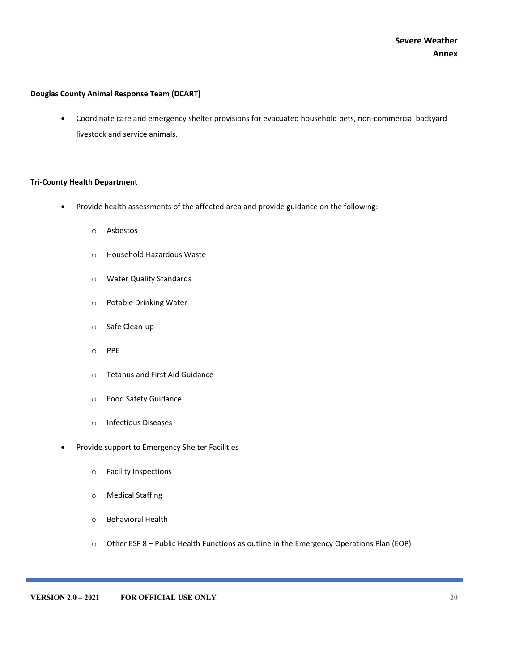# **Douglas County Animal Response Team (DCART)**

• Coordinate care and emergency shelter provisions for evacuated household pets, non-commercial backyard livestock and service animals.

#### **Tri-County Health Department**

- Provide health assessments of the affected area and provide guidance on the following:
	- o Asbestos
	- o Household Hazardous Waste
	- o Water Quality Standards
	- o Potable Drinking Water
	- o Safe Clean-up
	- o PPE
	- o Tetanus and First Aid Guidance
	- o Food Safety Guidance
	- o Infectious Diseases
- Provide support to Emergency Shelter Facilities
	- o Facility Inspections
	- o Medical Staffing
	- o Behavioral Health
	- o Other ESF 8 Public Health Functions as outline in the Emergency Operations Plan (EOP)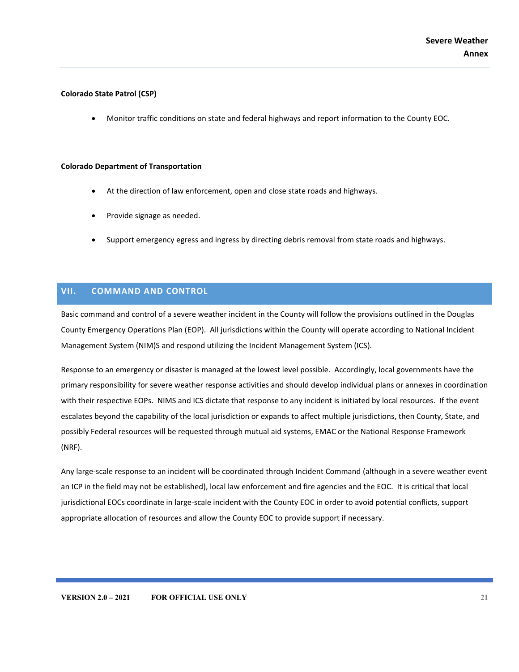#### **Colorado State Patrol (CSP)**

• Monitor traffic conditions on state and federal highways and report information to the County EOC.

#### **Colorado Department of Transportation**

- At the direction of law enforcement, open and close state roads and highways.
- Provide signage as needed.
- Support emergency egress and ingress by directing debris removal from state roads and highways.

# <span id="page-20-0"></span>**VII. COMMAND AND CONTROL**

Basic command and control of a severe weather incident in the County will follow the provisions outlined in the Douglas County Emergency Operations Plan (EOP). All jurisdictions within the County will operate according to National Incident Management System (NIM)S and respond utilizing the Incident Management System (ICS).

Response to an emergency or disaster is managed at the lowest level possible. Accordingly, local governments have the primary responsibility for severe weather response activities and should develop individual plans or annexes in coordination with their respective EOPs. NIMS and ICS dictate that response to any incident is initiated by local resources. If the event escalates beyond the capability of the local jurisdiction or expands to affect multiple jurisdictions, then County, State, and possibly Federal resources will be requested through mutual aid systems, EMAC or the National Response Framework (NRF).

Any large-scale response to an incident will be coordinated through Incident Command (although in a severe weather event an ICP in the field may not be established), local law enforcement and fire agencies and the EOC. It is critical that local jurisdictional EOCs coordinate in large-scale incident with the County EOC in order to avoid potential conflicts, support appropriate allocation of resources and allow the County EOC to provide support if necessary.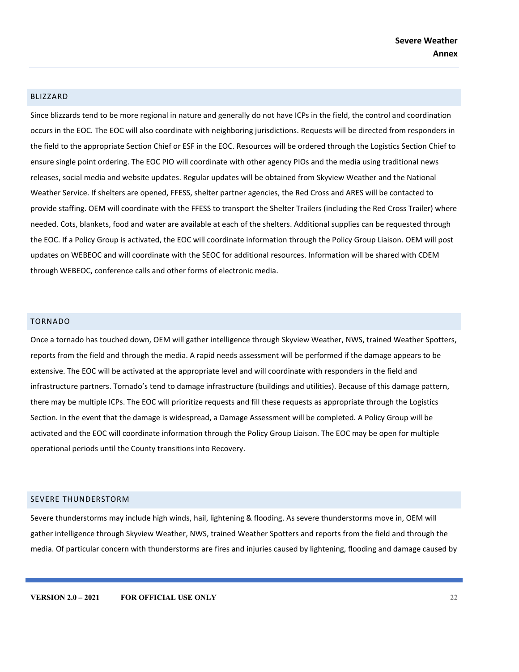#### BLIZZARD

Since blizzards tend to be more regional in nature and generally do not have ICPs in the field, the control and coordination occurs in the EOC. The EOC will also coordinate with neighboring jurisdictions. Requests will be directed from responders in the field to the appropriate Section Chief or ESF in the EOC. Resources will be ordered through the Logistics Section Chief to ensure single point ordering. The EOC PIO will coordinate with other agency PIOs and the media using traditional news releases, social media and website updates. Regular updates will be obtained from Skyview Weather and the National Weather Service. If shelters are opened, FFESS, shelter partner agencies, the Red Cross and ARES will be contacted to provide staffing. OEM will coordinate with the FFESS to transport the Shelter Trailers (including the Red Cross Trailer) where needed. Cots, blankets, food and water are available at each of the shelters. Additional supplies can be requested through the EOC. If a Policy Group is activated, the EOC will coordinate information through the Policy Group Liaison. OEM will post updates on WEBEOC and will coordinate with the SEOC for additional resources. Information will be shared with CDEM through WEBEOC, conference calls and other forms of electronic media.

#### <span id="page-21-0"></span>TORNADO

Once a tornado has touched down, OEM will gather intelligence through Skyview Weather, NWS, trained Weather Spotters, reports from the field and through the media. A rapid needs assessment will be performed if the damage appears to be extensive. The EOC will be activated at the appropriate level and will coordinate with responders in the field and infrastructure partners. Tornado's tend to damage infrastructure (buildings and utilities). Because of this damage pattern, there may be multiple ICPs. The EOC will prioritize requests and fill these requests as appropriate through the Logistics Section. In the event that the damage is widespread, a Damage Assessment will be completed. A Policy Group will be activated and the EOC will coordinate information through the Policy Group Liaison. The EOC may be open for multiple operational periods until the County transitions into Recovery.

#### <span id="page-21-1"></span>SEVERE THUNDERSTORM

Severe thunderstorms may include high winds, hail, lightening & flooding. As severe thunderstorms move in, OEM will gather intelligence through Skyview Weather, NWS, trained Weather Spotters and reports from the field and through the media. Of particular concern with thunderstorms are fires and injuries caused by lightening, flooding and damage caused by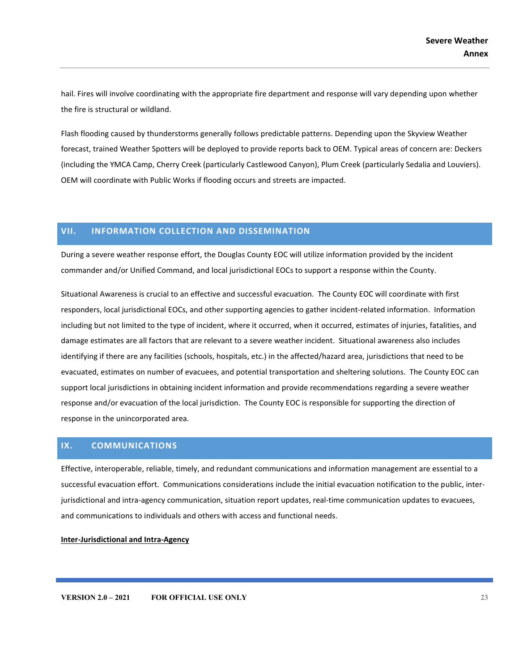hail. Fires will involve coordinating with the appropriate fire department and response will vary depending upon whether the fire is structural or wildland.

Flash flooding caused by thunderstorms generally follows predictable patterns. Depending upon the Skyview Weather forecast, trained Weather Spotters will be deployed to provide reports back to OEM. Typical areas of concern are: Deckers (including the YMCA Camp, Cherry Creek (particularly Castlewood Canyon), Plum Creek (particularly Sedalia and Louviers). OEM will coordinate with Public Works if flooding occurs and streets are impacted.

# <span id="page-22-0"></span>**VII. INFORMATION COLLECTION AND DISSEMINATION**

During a severe weather response effort, the Douglas County EOC will utilize information provided by the incident commander and/or Unified Command, and local jurisdictional EOCs to support a response within the County.

Situational Awareness is crucial to an effective and successful evacuation. The County EOC will coordinate with first responders, local jurisdictional EOCs, and other supporting agencies to gather incident-related information. Information including but not limited to the type of incident, where it occurred, when it occurred, estimates of injuries, fatalities, and damage estimates are all factors that are relevant to a severe weather incident. Situational awareness also includes identifying if there are any facilities (schools, hospitals, etc.) in the affected/hazard area, jurisdictions that need to be evacuated, estimates on number of evacuees, and potential transportation and sheltering solutions. The County EOC can support local jurisdictions in obtaining incident information and provide recommendations regarding a severe weather response and/or evacuation of the local jurisdiction. The County EOC is responsible for supporting the direction of response in the unincorporated area.

# <span id="page-22-1"></span>**IX. COMMUNICATIONS**

Effective, interoperable, reliable, timely, and redundant communications and information management are essential to a successful evacuation effort. Communications considerations include the initial evacuation notification to the public, interjurisdictional and intra-agency communication, situation report updates, real-time communication updates to evacuees, and communications to individuals and others with access and functional needs.

**Inter-Jurisdictional and Intra-Agency**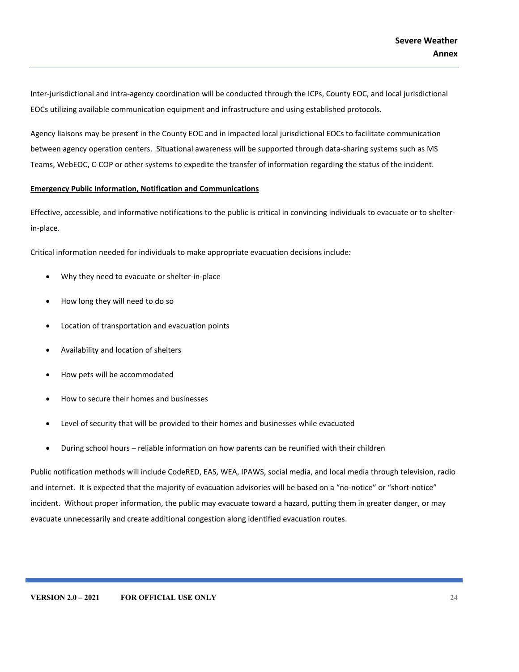Inter-jurisdictional and intra-agency coordination will be conducted through the ICPs, County EOC, and local jurisdictional EOCs utilizing available communication equipment and infrastructure and using established protocols.

Agency liaisons may be present in the County EOC and in impacted local jurisdictional EOCs to facilitate communication between agency operation centers. Situational awareness will be supported through data-sharing systems such as MS Teams, WebEOC, C-COP or other systems to expedite the transfer of information regarding the status of the incident.

#### **Emergency Public Information, Notification and Communications**

Effective, accessible, and informative notifications to the public is critical in convincing individuals to evacuate or to shelterin-place.

Critical information needed for individuals to make appropriate evacuation decisions include:

- Why they need to evacuate or shelter-in-place
- How long they will need to do so
- Location of transportation and evacuation points
- Availability and location of shelters
- How pets will be accommodated
- How to secure their homes and businesses
- Level of security that will be provided to their homes and businesses while evacuated
- During school hours reliable information on how parents can be reunified with their children

Public notification methods will include CodeRED, EAS, WEA, IPAWS, social media, and local media through television, radio and internet. It is expected that the majority of evacuation advisories will be based on a "no-notice" or "short-notice" incident. Without proper information, the public may evacuate toward a hazard, putting them in greater danger, or may evacuate unnecessarily and create additional congestion along identified evacuation routes.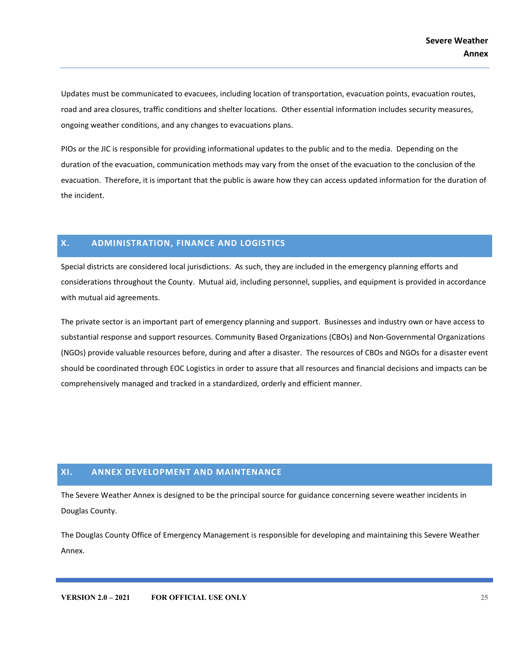Updates must be communicated to evacuees, including location of transportation, evacuation points, evacuation routes, road and area closures, traffic conditions and shelter locations. Other essential information includes security measures, ongoing weather conditions, and any changes to evacuations plans.

PIOs or the JIC is responsible for providing informational updates to the public and to the media. Depending on the duration of the evacuation, communication methods may vary from the onset of the evacuation to the conclusion of the evacuation. Therefore, it is important that the public is aware how they can access updated information for the duration of the incident.

# <span id="page-24-0"></span>**X. ADMINISTRATION, FINANCE AND LOGISTICS**

Special districts are considered local jurisdictions. As such, they are included in the emergency planning efforts and considerations throughout the County. Mutual aid, including personnel, supplies, and equipment is provided in accordance with mutual aid agreements.

The private sector is an important part of emergency planning and support. Businesses and industry own or have access to substantial response and support resources. Community Based Organizations (CBOs) and Non-Governmental Organizations (NGOs) provide valuable resources before, during and after a disaster. The resources of CBOs and NGOs for a disaster event should be coordinated through EOC Logistics in order to assure that all resources and financial decisions and impacts can be comprehensively managed and tracked in a standardized, orderly and efficient manner.

# <span id="page-24-1"></span>**XI. ANNEX DEVELOPMENT AND MAINTENANCE**

The Severe Weather Annex is designed to be the principal source for guidance concerning severe weather incidents in Douglas County.

The Douglas County Office of Emergency Management is responsible for developing and maintaining this Severe Weather Annex.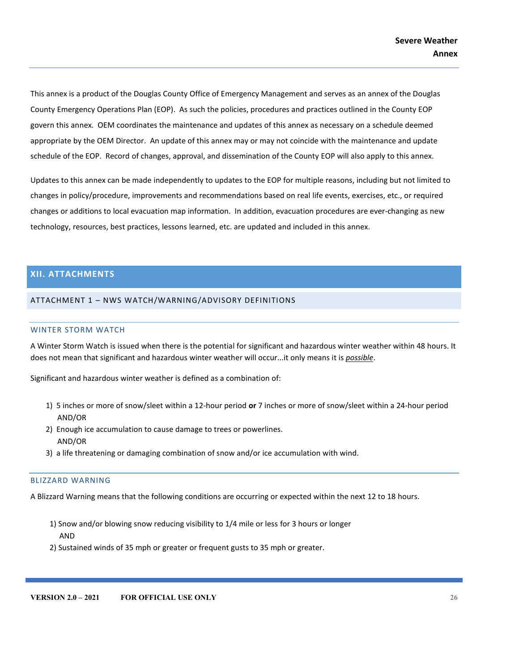This annex is a product of the Douglas County Office of Emergency Management and serves as an annex of the Douglas County Emergency Operations Plan (EOP). As such the policies, procedures and practices outlined in the County EOP govern this annex. OEM coordinates the maintenance and updates of this annex as necessary on a schedule deemed appropriate by the OEM Director. An update of this annex may or may not coincide with the maintenance and update schedule of the EOP. Record of changes, approval, and dissemination of the County EOP will also apply to this annex.

Updates to this annex can be made independently to updates to the EOP for multiple reasons, including but not limited to changes in policy/procedure, improvements and recommendations based on real life events, exercises, etc., or required changes or additions to local evacuation map information. In addition, evacuation procedures are ever-changing as new technology, resources, best practices, lessons learned, etc. are updated and included in this annex.

# <span id="page-25-0"></span>**XII. ATTACHMENTS**

#### <span id="page-25-2"></span><span id="page-25-1"></span>ATTACHMENT 1 – NWS WATCH/WARNING/ADVISORY DEFINITIONS

#### WINTER STORM WATCH

A Winter Storm Watch is issued when there is the potential for significant and hazardous winter weather within 48 hours. It does not mean that significant and hazardous winter weather will occur...it only means it is *possible*.

Significant and hazardous winter weather is defined as a combination of:

- 1) 5 inches or more of snow/sleet within a 12-hour period **or** 7 inches or more of snow/sleet within a 24-hour period AND/OR
- 2) Enough ice accumulation to cause damage to trees or powerlines. AND/OR
- 3) a life threatening or damaging combination of snow and/or ice accumulation with wind.

# <span id="page-25-3"></span>BLIZZARD WARNING

A Blizzard Warning means that the following conditions are occurring or expected within the next 12 to 18 hours.

- 1) Snow and/or blowing snow reducing visibility to 1/4 mile or less for 3 hours or longer AND
- 2) Sustained winds of 35 mph or greater or frequent gusts to 35 mph or greater.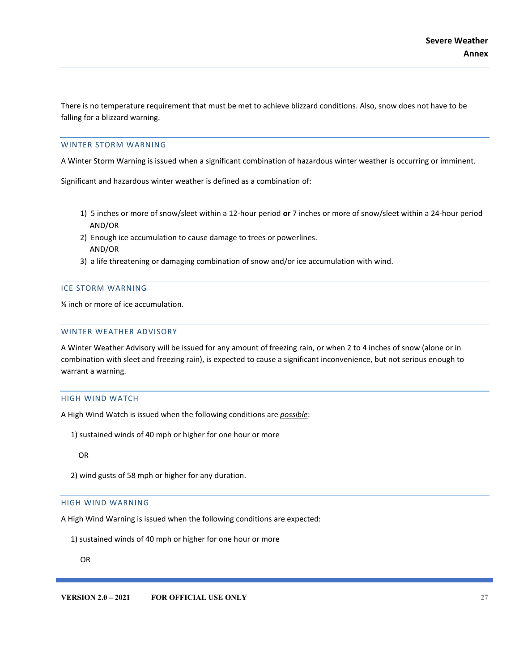There is no temperature requirement that must be met to achieve blizzard conditions. Also, snow does not have to be falling for a blizzard warning.

#### <span id="page-26-0"></span>WINTER STORM WARNING

A Winter Storm Warning is issued when a significant combination of hazardous winter weather is occurring or imminent.

Significant and hazardous winter weather is defined as a combination of:

- 1) 5 inches or more of snow/sleet within a 12-hour period **or** 7 inches or more of snow/sleet within a 24-hour period AND/OR
- 2) Enough ice accumulation to cause damage to trees or powerlines. AND/OR
- 3) a life threatening or damaging combination of snow and/or ice accumulation with wind.

#### <span id="page-26-1"></span>ICE STORM WARNING

¼ inch or more of ice accumulation.

#### <span id="page-26-2"></span>WINTER WEATHER ADVISORY

A Winter Weather Advisory will be issued for any amount of freezing rain, or when 2 to 4 inches of snow (alone or in combination with sleet and freezing rain), is expected to cause a significant inconvenience, but not serious enough to warrant a warning.

#### <span id="page-26-3"></span>HIGH WIND WATCH

A High Wind Watch is issued when the following conditions are *possible*:

1) sustained winds of 40 mph or higher for one hour or more

OR

2) wind gusts of 58 mph or higher for any duration.

#### <span id="page-26-4"></span>HIGH WIND WARNING

A High Wind Warning is issued when the following conditions are expected:

1) sustained winds of 40 mph or higher for one hour or more

OR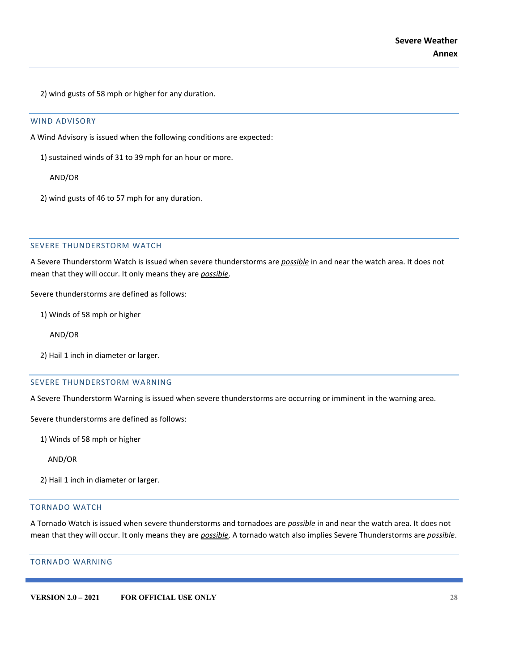2) wind gusts of 58 mph or higher for any duration.

#### <span id="page-27-0"></span>WIND ADVISORY

A Wind Advisory is issued when the following conditions are expected:

1) sustained winds of 31 to 39 mph for an hour or more.

AND/OR

2) wind gusts of 46 to 57 mph for any duration.

#### <span id="page-27-1"></span>SEVERE THUNDERSTORM WATCH

A Severe Thunderstorm Watch is issued when severe thunderstorms are *possible* in and near the watch area. It does not mean that they will occur. It only means they are *possible*.

Severe thunderstorms are defined as follows:

- 1) Winds of 58 mph or higher
	- AND/OR
- 2) Hail 1 inch in diameter or larger.

#### <span id="page-27-2"></span>SEVERE THUNDERSTORM WARNING

A Severe Thunderstorm Warning is issued when severe thunderstorms are occurring or imminent in the warning area.

Severe thunderstorms are defined as follows:

1) Winds of 58 mph or higher

AND/OR

2) Hail 1 inch in diameter or larger.

#### <span id="page-27-3"></span>TORNADO WATCH

A Tornado Watch is issued when severe thunderstorms and tornadoes are *possible* in and near the watch area. It does not mean that they will occur. It only means they are *possible*. A tornado watch also implies Severe Thunderstorms are *possible*.

#### <span id="page-27-4"></span>TORNADO WARNING

**VERSION 2.0 – 2021 FOR OFFICIAL USE ONLY 28**